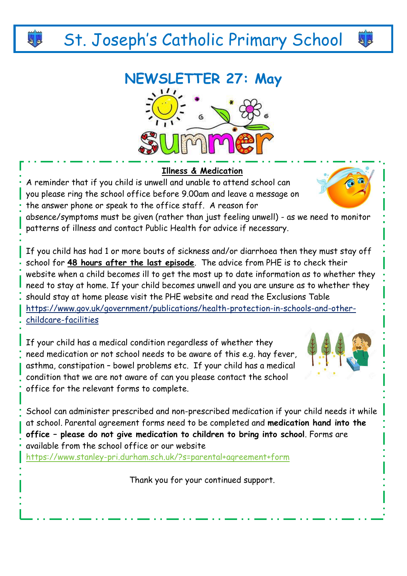# St. Joseph's Catholic Primary School

## **NEWSLETTER 27: May**



#### **Illness & Medication**

A reminder that if you child is unwell and unable to attend school can you please ring the school office before 9.00am and leave a message on the answer phone or speak to the office staff. A reason for

absence/symptoms must be given (rather than just feeling unwell) - as we need to monitor patterns of illness and contact Public Health for advice if necessary.

If you child has had 1 or more bouts of sickness and/or diarrhoea then they must stay off school for **48 hours after the last episode**. The advice from PHE is to check their website when a child becomes ill to get the most up to date information as to whether they need to stay at home. If your child becomes unwell and you are unsure as to whether they should stay at home please visit the PHE website and read the Exclusions Table [https://www.gov.uk/government/publications/health-protection-in-schools-and-other](https://www.gov.uk/government/publications/health-protection-in-schools-and-other-childcare-facilities)[childcare-facilities](https://www.gov.uk/government/publications/health-protection-in-schools-and-other-childcare-facilities)

If your child has a medical condition regardless of whether they need medication or not school needs to be aware of this e.g. hay fever, asthma, constipation – bowel problems etc. If your child has a medical condition that we are not aware of can you please contact the school office for the relevant forms to complete.

School can administer prescribed and non-prescribed medication if your child needs it while at school. Parental agreement forms need to be completed and **medication hand into the office – please do not give medication to children to bring into school**. Forms are available from the school office or our website <https://www.stanley-pri.durham.sch.uk/?s=parental+agreement+form>

Thank you for your continued support.



44

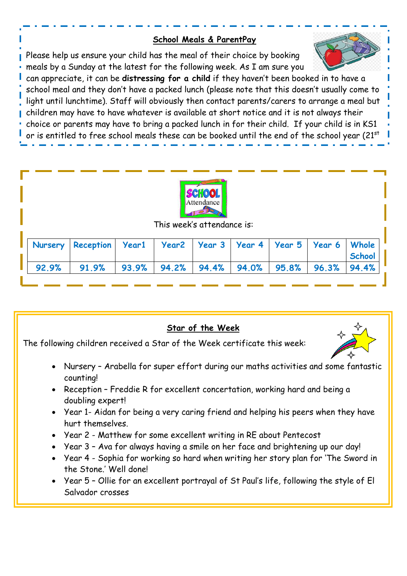#### **School Meals & ParentPay**

Please help us ensure your child has the meal of their choice by booking meals by a Sunday at the latest for the following week. As I am sure you

July 2022).





This week's attendance is:

|  | Nursery Reception   Year1   Year2   Year 3   Year 4   Year 5   Year 6   Whole                    |  |  |  | School |
|--|--------------------------------------------------------------------------------------------------|--|--|--|--------|
|  | $92.9\%$   $91.9\%$   $93.9\%$   $94.2\%$   $94.4\%$   $94.0\%$   $95.8\%$   $96.3\%$   $94.4\%$ |  |  |  |        |

### **Star of the Week** The following children received a Star of the Week certificate this week: • Nursery – Arabella for super effort during our maths activities and some fantastic counting! • Reception – Freddie R for excellent concertation, working hard and being a doubling expert! • Year 1- Aidan for being a very caring friend and helping his peers when they have hurt themselves. • Year 2 - Matthew for some excellent writing in RE about Pentecost • Year 3 – Ava for always having a smile on her face and brightening up our day! • Year 4 - Sophia for working so hard when writing her story plan for 'The Sword in the Stone.' Well done! • Year 5 – Ollie for an excellent portrayal of St Paul's life, following the style of El Salvador crosses